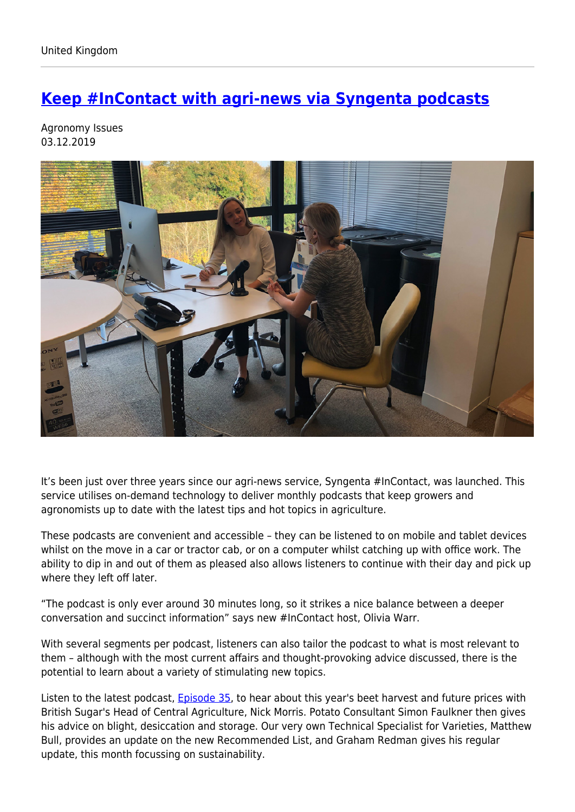## **[Keep #InContact with agri-news via Syngenta podcasts](https://www.syngenta.co.uk/news/agronomy-issues/keep-incontact-agri-news-syngenta-podcasts)**

Agronomy Issues 03.12.2019



It's been just over three years since our agri-news service, Syngenta #InContact, was launched. This service utilises on-demand technology to deliver monthly podcasts that keep growers and agronomists up to date with the latest tips and hot topics in agriculture.

These podcasts are convenient and accessible – they can be listened to on mobile and tablet devices whilst on the move in a car or tractor cab, or on a computer whilst catching up with office work. The ability to dip in and out of them as pleased also allows listeners to continue with their day and pick up where they left off later.

"The podcast is only ever around 30 minutes long, so it strikes a nice balance between a deeper conversation and succinct information" says new #InContact host, Olivia Warr.

With several segments per podcast, listeners can also tailor the podcast to what is most relevant to them – although with the most current affairs and thought-provoking advice discussed, there is the potential to learn about a variety of stimulating new topics.

Listen to the latest podcast, **Episode 35**, to hear about this year's beet harvest and future prices with British Sugar's Head of Central Agriculture, Nick Morris. Potato Consultant Simon Faulkner then gives his advice on blight, desiccation and storage. Our very own Technical Specialist for Varieties, Matthew Bull, provides an update on the new Recommended List, and Graham Redman gives his regular update, this month focussing on sustainability.